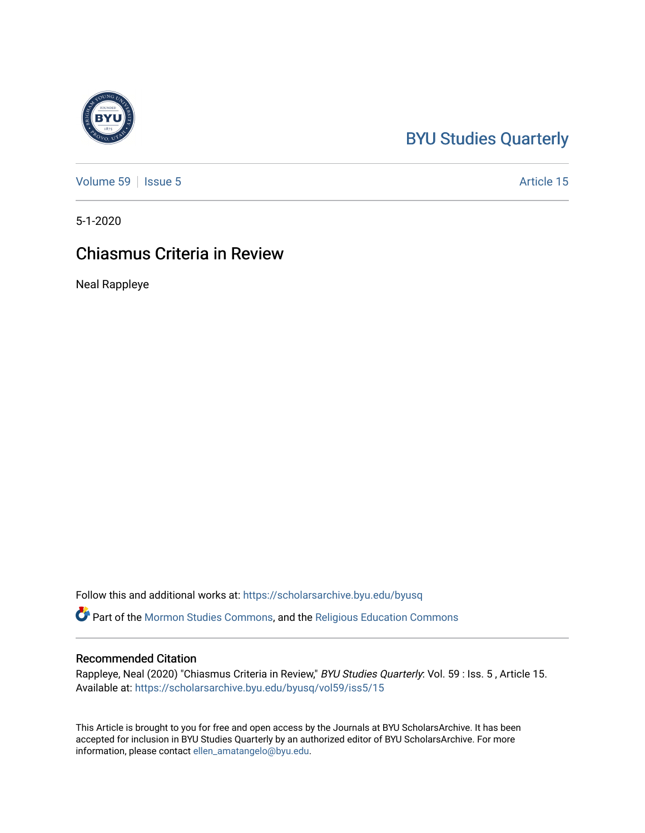# [BYU Studies Quarterly](https://scholarsarchive.byu.edu/byusq)

[Volume 59](https://scholarsarchive.byu.edu/byusq/vol59) | [Issue 5](https://scholarsarchive.byu.edu/byusq/vol59/iss5) Article 15

5-1-2020

# Chiasmus Criteria in Review

Neal Rappleye

Follow this and additional works at: [https://scholarsarchive.byu.edu/byusq](https://scholarsarchive.byu.edu/byusq?utm_source=scholarsarchive.byu.edu%2Fbyusq%2Fvol59%2Fiss5%2F15&utm_medium=PDF&utm_campaign=PDFCoverPages) 

Part of the [Mormon Studies Commons](http://network.bepress.com/hgg/discipline/1360?utm_source=scholarsarchive.byu.edu%2Fbyusq%2Fvol59%2Fiss5%2F15&utm_medium=PDF&utm_campaign=PDFCoverPages), and the [Religious Education Commons](http://network.bepress.com/hgg/discipline/1414?utm_source=scholarsarchive.byu.edu%2Fbyusq%2Fvol59%2Fiss5%2F15&utm_medium=PDF&utm_campaign=PDFCoverPages) 

#### Recommended Citation

Rappleye, Neal (2020) "Chiasmus Criteria in Review," BYU Studies Quarterly: Vol. 59 : Iss. 5, Article 15. Available at: [https://scholarsarchive.byu.edu/byusq/vol59/iss5/15](https://scholarsarchive.byu.edu/byusq/vol59/iss5/15?utm_source=scholarsarchive.byu.edu%2Fbyusq%2Fvol59%2Fiss5%2F15&utm_medium=PDF&utm_campaign=PDFCoverPages) 

This Article is brought to you for free and open access by the Journals at BYU ScholarsArchive. It has been accepted for inclusion in BYU Studies Quarterly by an authorized editor of BYU ScholarsArchive. For more information, please contact [ellen\\_amatangelo@byu.edu.](mailto:ellen_amatangelo@byu.edu)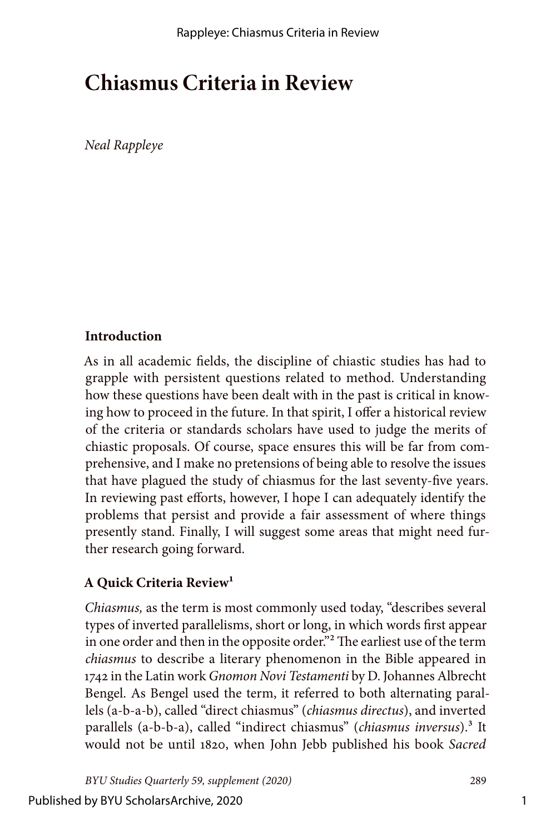# **Chiasmus Criteria in Review**

*Neal Rappleye*

## **Introduction**

As in all academic fields, the discipline of chiastic studies has had to grapple with persistent questions related to method. Understanding how these questions have been dealt with in the past is critical in knowing how to proceed in the future. In that spirit, I offer a historical review of the criteria or standards scholars have used to judge the merits of chiastic proposals. Of course, space ensures this will be far from comprehensive, and I make no pretensions of being able to resolve the issues that have plagued the study of chiasmus for the last seventy-five years. In reviewing past efforts, however, I hope I can adequately identify the problems that persist and provide a fair assessment of where things presently stand. Finally, I will suggest some areas that might need further research going forward.

## **A Quick Criteria Review1**

*Chiasmus,* as the term is most commonly used today, "describes several types of inverted parallelisms, short or long, in which words first appear in one order and then in the opposite order."<sup>2</sup> The earliest use of the term *chiasmus* to describe a literary phenomenon in the Bible appeared in 1742 in the Latin work *Gnomon Novi Testamenti* by D. Johannes Albrecht Bengel. As Bengel used the term, it referred to both alternating parallels (a-b-a-b), called "direct chiasmus" (*chiasmus directus*), and inverted parallels (a-b-b-a), called "indirect chiasmus" (*chiasmus inversus*).3 It would not be until 1820, when John Jebb published his book *Sacred* 

*BYU Studies Quarterly 59, supplement (2020)* 289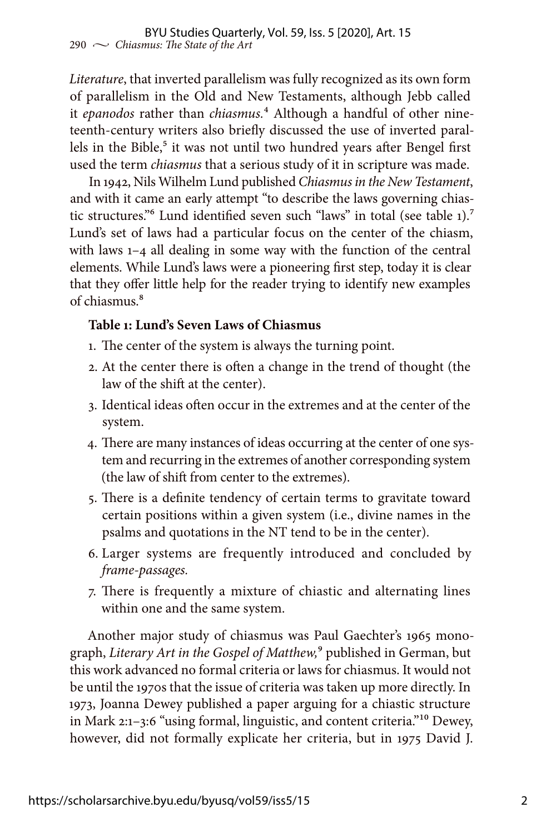*Literature*, that inverted parallelism was fully recognized as its own form of parallelism in the Old and New Testaments, although Jebb called it *epanodos* rather than *chiasmus.*4 Although a handful of other nineteenth-century writers also briefly discussed the use of inverted parallels in the Bible,<sup>5</sup> it was not until two hundred years after Bengel first used the term *chiasmus* that a serious study of it in scripture was made.

In 1942, Nils Wilhelm Lund published *Chiasmus in the New Testament*, and with it came an early attempt "to describe the laws governing chiastic structures."<sup>6</sup> Lund identified seven such "laws" in total (see table 1).<sup>7</sup> Lund's set of laws had a particular focus on the center of the chiasm, with laws 1–4 all dealing in some way with the function of the central elements. While Lund's laws were a pioneering first step, today it is clear that they offer little help for the reader trying to identify new examples of chiasmus.8

#### **Table 1: Lund's Seven Laws of Chiasmus**

- 1. The center of the system is always the turning point.
- 2. At the center there is often a change in the trend of thought (the law of the shift at the center).
- 3. Identical ideas often occur in the extremes and at the center of the system.
- 4. There are many instances of ideas occurring at the center of one system and recurring in the extremes of another corresponding system (the law of shift from center to the extremes).
- 5. There is a definite tendency of certain terms to gravitate toward certain positions within a given system (i.e., divine names in the psalms and quotations in the NT tend to be in the center).
- 6. Larger systems are frequently introduced and concluded by *frame-passages.*
- 7. There is frequently a mixture of chiastic and alternating lines within one and the same system.

Another major study of chiasmus was Paul Gaechter's 1965 monograph, *Literary Art in the Gospel of Matthew,*9 published in German, but this work advanced no formal criteria or laws for chiasmus. It would not be until the 1970s that the issue of criteria was taken up more directly. In 1973, Joanna Dewey published a paper arguing for a chiastic structure in Mark 2:1–3:6 "using formal, linguistic, and content criteria."10 Dewey, however, did not formally explicate her criteria, but in 1975 David J.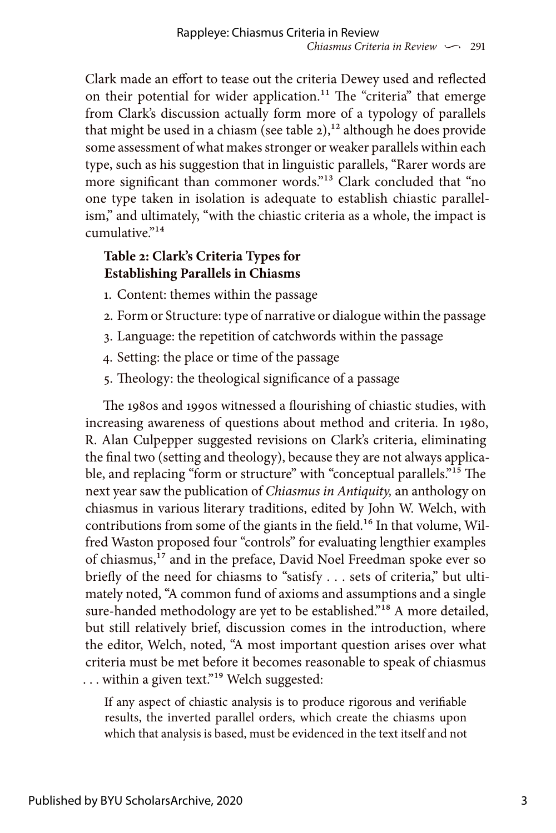Clark made an effort to tease out the criteria Dewey used and reflected on their potential for wider application.<sup>11</sup> The "criteria" that emerge from Clark's discussion actually form more of a typology of parallels that might be used in a chiasm (see table  $2$ ),<sup>12</sup> although he does provide some assessment of what makes stronger or weaker parallels within each type, such as his suggestion that in linguistic parallels, "Rarer words are more significant than commoner words."13 Clark concluded that "no one type taken in isolation is adequate to establish chiastic parallelism," and ultimately, "with the chiastic criteria as a whole, the impact is  $cumulative<sup>914</sup>$ 

## **Table 2: Clark's Criteria Types for Establishing Parallels in Chiasms**

- 1. Content: themes within the passage
- 2. Form or Structure: type of narrative or dialogue within the passage
- 3. Language: the repetition of catchwords within the passage
- 4. Setting: the place or time of the passage
- 5. Theology: the theological significance of a passage

The 1980s and 1990s witnessed a flourishing of chiastic studies, with increasing awareness of questions about method and criteria. In 1980, R. Alan Culpepper suggested revisions on Clark's criteria, eliminating the final two (setting and theology), because they are not always applicable, and replacing "form or structure" with "conceptual parallels."15 The next year saw the publication of *Chiasmus in Antiquity,* an anthology on chiasmus in various literary traditions, edited by John W. Welch, with contributions from some of the giants in the field.<sup>16</sup> In that volume, Wilfred Waston proposed four "controls" for evaluating lengthier examples of chiasmus,17 and in the preface, David Noel Freedman spoke ever so briefly of the need for chiasms to "satisfy . . . sets of criteria," but ultimately noted, "A common fund of axioms and assumptions and a single sure-handed methodology are yet to be established."<sup>18</sup> A more detailed, but still relatively brief, discussion comes in the introduction, where the editor, Welch, noted, "A most important question arises over what criteria must be met before it becomes reasonable to speak of chiasmus ... within a given text."<sup>19</sup> Welch suggested:

If any aspect of chiastic analysis is to produce rigorous and verifiable results, the inverted parallel orders, which create the chiasms upon which that analysis is based, must be evidenced in the text itself and not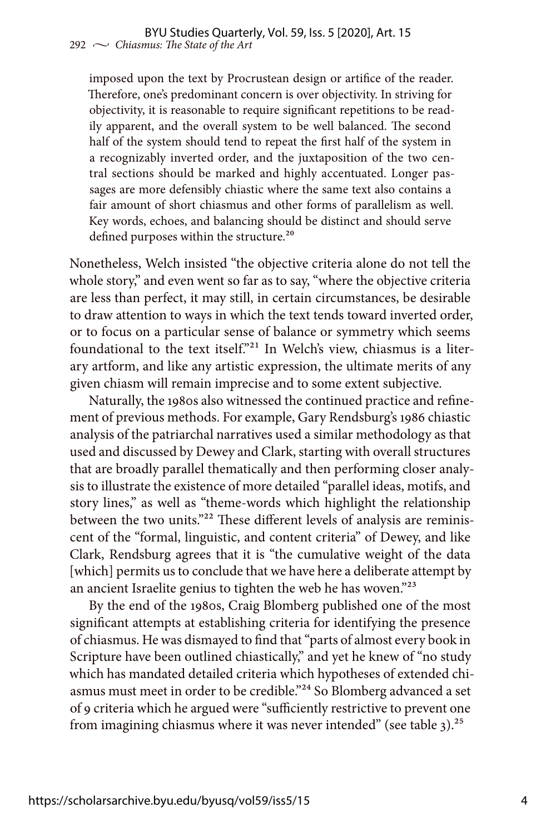imposed upon the text by Procrustean design or artifice of the reader. Therefore, one's predominant concern is over objectivity. In striving for objectivity, it is reasonable to require significant repetitions to be readily apparent, and the overall system to be well balanced. The second half of the system should tend to repeat the first half of the system in a recognizably inverted order, and the juxtaposition of the two central sections should be marked and highly accentuated. Longer passages are more defensibly chiastic where the same text also contains a fair amount of short chiasmus and other forms of parallelism as well. Key words, echoes, and balancing should be distinct and should serve defined purposes within the structure.<sup>20</sup>

Nonetheless, Welch insisted "the objective criteria alone do not tell the whole story," and even went so far as to say, "where the objective criteria are less than perfect, it may still, in certain circumstances, be desirable to draw attention to ways in which the text tends toward inverted order, or to focus on a particular sense of balance or symmetry which seems foundational to the text itself."21 In Welch's view, chiasmus is a literary artform, and like any artistic expression, the ultimate merits of any given chiasm will remain imprecise and to some extent subjective.

Naturally, the 1980s also witnessed the continued practice and refinement of previous methods. For example, Gary Rendsburg's 1986 chiastic analysis of the patriarchal narratives used a similar methodology as that used and discussed by Dewey and Clark, starting with overall structures that are broadly parallel thematically and then performing closer analysis to illustrate the existence of more detailed "parallel ideas, motifs, and story lines," as well as "theme-words which highlight the relationship between the two units."<sup>22</sup> These different levels of analysis are reminiscent of the "formal, linguistic, and content criteria" of Dewey, and like Clark, Rendsburg agrees that it is "the cumulative weight of the data [which] permits us to conclude that we have here a deliberate attempt by an ancient Israelite genius to tighten the web he has woven."23

By the end of the 1980s, Craig Blomberg published one of the most significant attempts at establishing criteria for identifying the presence of chiasmus. He was dismayed to find that "parts of almost every book in Scripture have been outlined chiastically," and yet he knew of "no study which has mandated detailed criteria which hypotheses of extended chiasmus must meet in order to be credible."<sup>24</sup> So Blomberg advanced a set of 9 criteria which he argued were "sufficiently restrictive to prevent one from imagining chiasmus where it was never intended" (see table  $3$ ).<sup>25</sup>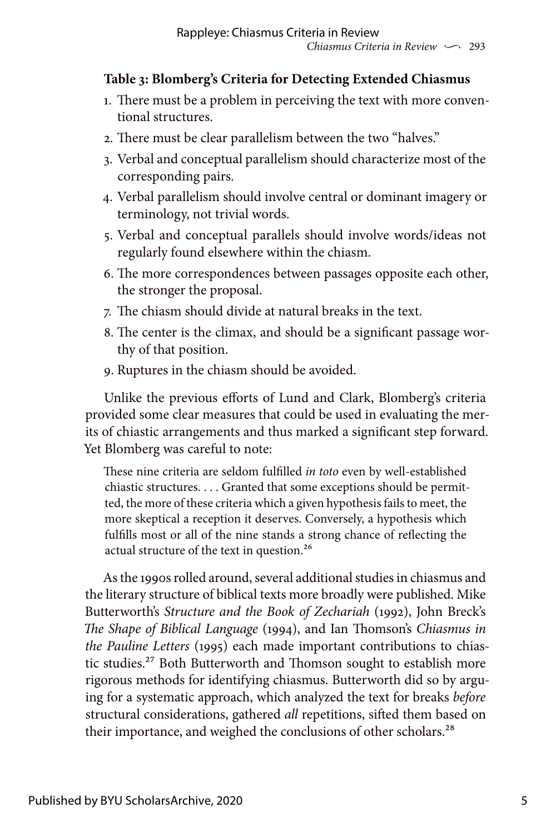## **Table 3: Blomberg's Criteria for Detecting Extended Chiasmus**

- 1. There must be a problem in perceiving the text with more conventional structures.
- 2. There must be clear parallelism between the two "halves."
- 3. Verbal and conceptual parallelism should characterize most of the corresponding pairs.
- 4. Verbal parallelism should involve central or dominant imagery or terminology, not trivial words.
- 5. Verbal and conceptual parallels should involve words/ideas not regularly found elsewhere within the chiasm.
- 6. The more correspondences between passages opposite each other, the stronger the proposal.
- 7. The chiasm should divide at natural breaks in the text.
- 8. The center is the climax, and should be a significant passage worthy of that position.
- 9. Ruptures in the chiasm should be avoided.

Unlike the previous efforts of Lund and Clark, Blomberg's criteria provided some clear measures that could be used in evaluating the merits of chiastic arrangements and thus marked a significant step forward. Yet Blomberg was careful to note:

These nine criteria are seldom fulfilled *in toto* even by well-established chiastic structures. . . . Granted that some exceptions should be permitted, the more of these criteria which a given hypothesis fails to meet, the more skeptical a reception it deserves. Conversely, a hypothesis which fulfills most or all of the nine stands a strong chance of reflecting the actual structure of the text in question.26

As the 1990s rolled around, several additional studies in chiasmus and the literary structure of biblical texts more broadly were published. Mike Butterworth's *Structure and the Book of Zechariah* (1992), John Breck's *The Shape of Biblical Language* (1994), and Ian Thomson's *Chiasmus in the Pauline Letters* (1995) each made important contributions to chiastic studies.<sup>27</sup> Both Butterworth and Thomson sought to establish more rigorous methods for identifying chiasmus. Butterworth did so by arguing for a systematic approach, which analyzed the text for breaks *before* structural considerations, gathered *all* repetitions, sifted them based on their importance, and weighed the conclusions of other scholars.<sup>28</sup>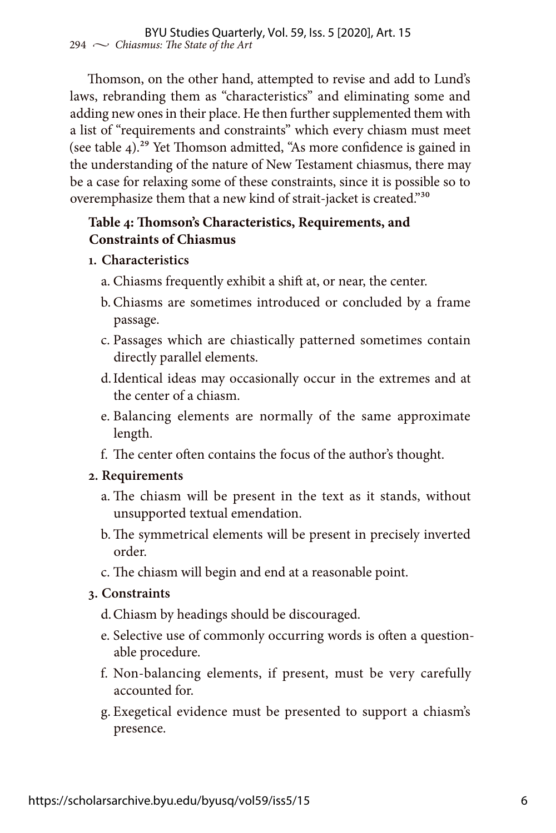Thomson, on the other hand, attempted to revise and add to Lund's laws, rebranding them as "characteristics" and eliminating some and adding new ones in their place. He then further supplemented them with a list of "requirements and constraints" which every chiasm must meet (see table 4).<sup>29</sup> Yet Thomson admitted, "As more confidence is gained in the understanding of the nature of New Testament chiasmus, there may be a case for relaxing some of these constraints, since it is possible so to overemphasize them that a new kind of strait-jacket is created."30

## **Table 4: Thomson's Characteristics, Requirements, and Constraints of Chiasmus**

- **1. Characteristics**
	- a. Chiasms frequently exhibit a shift at, or near, the center.
	- b. Chiasms are sometimes introduced or concluded by a frame passage.
	- c. Passages which are chiastically patterned sometimes contain directly parallel elements.
	- d.Identical ideas may occasionally occur in the extremes and at the center of a chiasm.
	- e. Balancing elements are normally of the same approximate length.
	- f. The center often contains the focus of the author's thought.

#### **2. Requirements**

- a. The chiasm will be present in the text as it stands, without unsupported textual emendation.
- b.The symmetrical elements will be present in precisely inverted order.
- c. The chiasm will begin and end at a reasonable point.

### **3. Constraints**

- d.Chiasm by headings should be discouraged.
- e. Selective use of commonly occurring words is often a questionable procedure.
- f. Non-balancing elements, if present, must be very carefully accounted for.
- g. Exegetical evidence must be presented to support a chiasm's presence.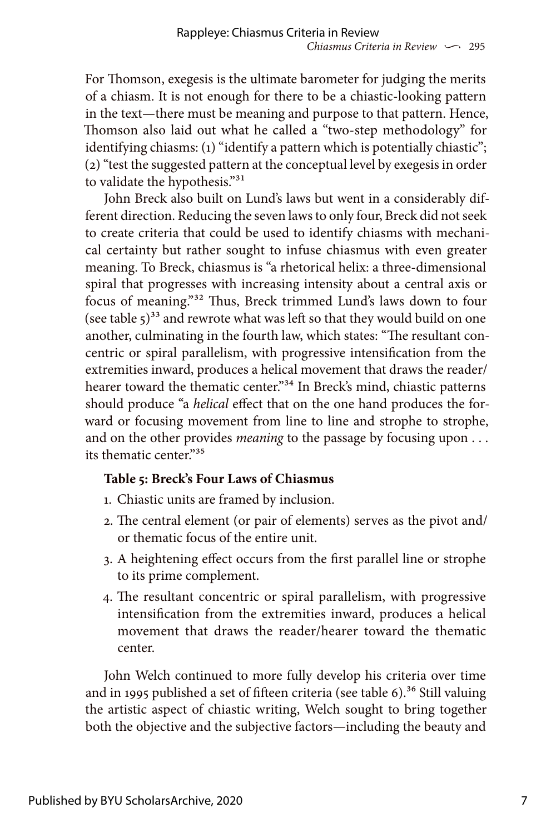For Thomson, exegesis is the ultimate barometer for judging the merits of a chiasm. It is not enough for there to be a chiastic-looking pattern in the text—there must be meaning and purpose to that pattern. Hence, Thomson also laid out what he called a "two-step methodology" for identifying chiasms: (1) "identify a pattern which is potentially chiastic"; (2) "test the suggested pattern at the conceptual level by exegesis in order to validate the hypothesis."31

John Breck also built on Lund's laws but went in a considerably different direction. Reducing the seven laws to only four, Breck did not seek to create criteria that could be used to identify chiasms with mechanical certainty but rather sought to infuse chiasmus with even greater meaning. To Breck, chiasmus is "a rhetorical helix: a three-dimensional spiral that progresses with increasing intensity about a central axis or focus of meaning."32 Thus, Breck trimmed Lund's laws down to four (see table  $5^{33}$  and rewrote what was left so that they would build on one another, culminating in the fourth law, which states: "The resultant concentric or spiral parallelism, with progressive intensification from the extremities inward, produces a helical movement that draws the reader/ hearer toward the thematic center."<sup>34</sup> In Breck's mind, chiastic patterns should produce "a *helical* effect that on the one hand produces the forward or focusing movement from line to line and strophe to strophe, and on the other provides *meaning* to the passage by focusing upon . . . its thematic center."35

### **Table 5: Breck's Four Laws of Chiasmus**

- 1. Chiastic units are framed by inclusion.
- 2. The central element (or pair of elements) serves as the pivot and/ or thematic focus of the entire unit.
- 3. A heightening effect occurs from the first parallel line or strophe to its prime complement.
- 4. The resultant concentric or spiral parallelism, with progressive intensification from the extremities inward, produces a helical movement that draws the reader/hearer toward the thematic center.

John Welch continued to more fully develop his criteria over time and in 1995 published a set of fifteen criteria (see table  $6$ ).<sup>36</sup> Still valuing the artistic aspect of chiastic writing, Welch sought to bring together both the objective and the subjective factors—including the beauty and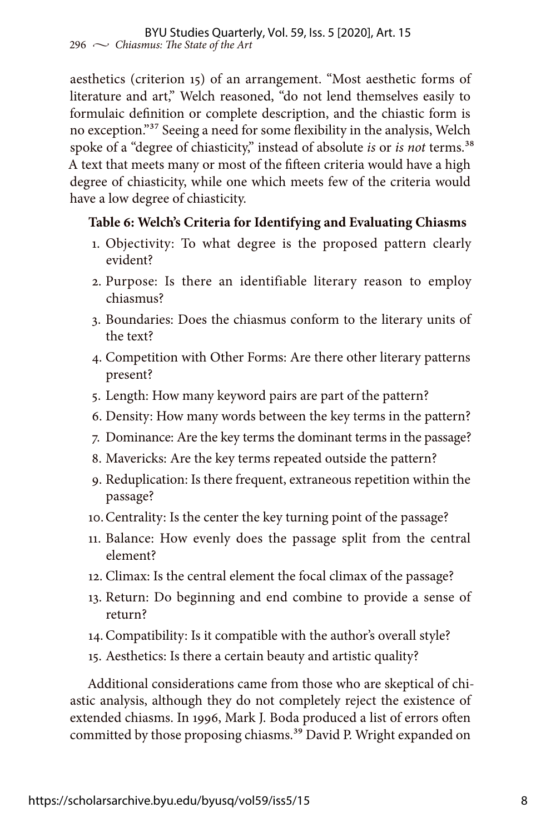aesthetics (criterion 15) of an arrangement. "Most aesthetic forms of literature and art," Welch reasoned, "do not lend themselves easily to formulaic definition or complete description, and the chiastic form is no exception."37 Seeing a need for some flexibility in the analysis, Welch spoke of a "degree of chiasticity," instead of absolute *is* or *is not* terms.38 A text that meets many or most of the fifteen criteria would have a high degree of chiasticity, while one which meets few of the criteria would have a low degree of chiasticity.

### **Table 6: Welch's Criteria for Identifying and Evaluating Chiasms**

- 1. Objectivity: To what degree is the proposed pattern clearly evident?
- 2. Purpose: Is there an identifiable literary reason to employ chiasmus?
- 3. Boundaries: Does the chiasmus conform to the literary units of the text?
- 4. Competition with Other Forms: Are there other literary patterns present?
- 5. Length: How many keyword pairs are part of the pattern?
- 6. Density: How many words between the key terms in the pattern?
- 7. Dominance: Are the key terms the dominant terms in the passage?
- 8. Mavericks: Are the key terms repeated outside the pattern?
- 9. Reduplication: Is there frequent, extraneous repetition within the passage?
- 10.Centrality: Is the center the key turning point of the passage?
- 11. Balance: How evenly does the passage split from the central element?
- 12. Climax: Is the central element the focal climax of the passage?
- 13. Return: Do beginning and end combine to provide a sense of return?
- 14.Compatibility: Is it compatible with the author's overall style?
- 15. Aesthetics: Is there a certain beauty and artistic quality?

Additional considerations came from those who are skeptical of chiastic analysis, although they do not completely reject the existence of extended chiasms. In 1996, Mark J. Boda produced a list of errors often committed by those proposing chiasms.<sup>39</sup> David P. Wright expanded on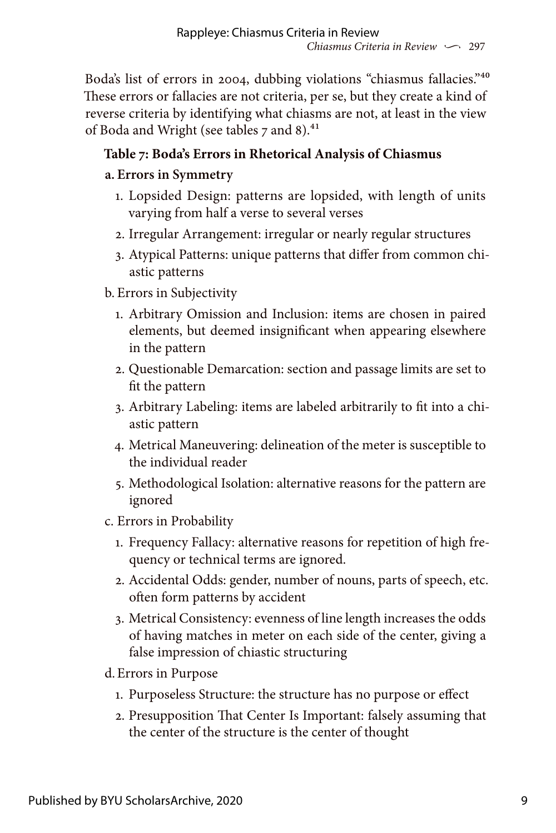Boda's list of errors in 2004, dubbing violations "chiasmus fallacies."40 These errors or fallacies are not criteria, per se, but they create a kind of reverse criteria by identifying what chiasms are not, at least in the view of Boda and Wright (see tables 7 and 8).<sup>41</sup>

# **Table 7: Boda's Errors in Rhetorical Analysis of Chiasmus**

## **a. Errors in Symmetry**

- 1. Lopsided Design: patterns are lopsided, with length of units varying from half a verse to several verses
- 2. Irregular Arrangement: irregular or nearly regular structures
- 3. Atypical Patterns: unique patterns that differ from common chiastic patterns

## b. Errors in Subjectivity

- 1. Arbitrary Omission and Inclusion: items are chosen in paired elements, but deemed insignificant when appearing elsewhere in the pattern
- 2. Questionable Demarcation: section and passage limits are set to fit the pattern
- 3. Arbitrary Labeling: items are labeled arbitrarily to fit into a chiastic pattern
- 4. Metrical Maneuvering: delineation of the meter is susceptible to the individual reader
- 5. Methodological Isolation: alternative reasons for the pattern are ignored
- c. Errors in Probability
	- 1. Frequency Fallacy: alternative reasons for repetition of high frequency or technical terms are ignored.
	- 2. Accidental Odds: gender, number of nouns, parts of speech, etc. often form patterns by accident
	- 3. Metrical Consistency: evenness of line length increases the odds of having matches in meter on each side of the center, giving a false impression of chiastic structuring

## d.Errors in Purpose

- 1. Purposeless Structure: the structure has no purpose or effect
- 2. Presupposition That Center Is Important: falsely assuming that the center of the structure is the center of thought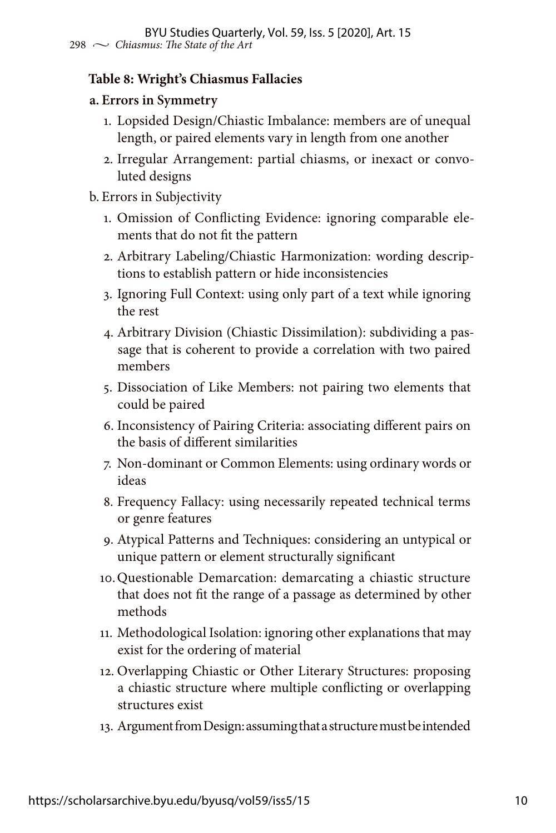### **Table 8: Wright's Chiasmus Fallacies**

#### **a. Errors in Symmetry**

- 1. Lopsided Design/Chiastic Imbalance: members are of unequal length, or paired elements vary in length from one another
- 2. Irregular Arrangement: partial chiasms, or inexact or convoluted designs

#### b. Errors in Subjectivity

- 1. Omission of Conflicting Evidence: ignoring comparable elements that do not fit the pattern
- 2. Arbitrary Labeling/Chiastic Harmonization: wording descriptions to establish pattern or hide inconsistencies
- 3. Ignoring Full Context: using only part of a text while ignoring the rest
- 4. Arbitrary Division (Chiastic Dissimilation): subdividing a passage that is coherent to provide a correlation with two paired members
- 5. Dissociation of Like Members: not pairing two elements that could be paired
- 6. Inconsistency of Pairing Criteria: associating different pairs on the basis of different similarities
- 7. Non-dominant or Common Elements: using ordinary words or ideas
- 8. Frequency Fallacy: using necessarily repeated technical terms or genre features
- 9. Atypical Patterns and Techniques: considering an untypical or unique pattern or element structurally significant
- 10.Questionable Demarcation: demarcating a chiastic structure that does not fit the range of a passage as determined by other methods
- 11. Methodological Isolation: ignoring other explanations that may exist for the ordering of material
- 12. Overlapping Chiastic or Other Literary Structures: proposing a chiastic structure where multiple conflicting or overlapping structures exist
- 13. Argument from Design: assuming that a structure must be intended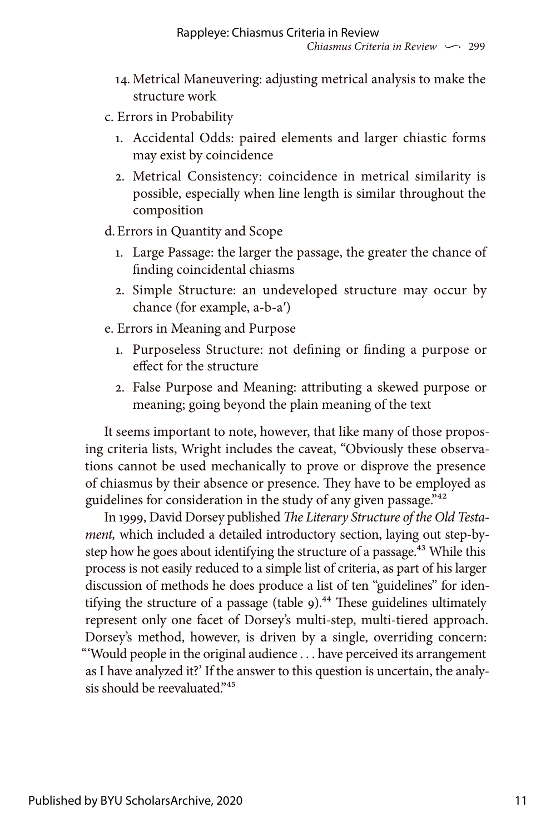- 14. Metrical Maneuvering: adjusting metrical analysis to make the structure work
- c. Errors in Probability
	- 1. Accidental Odds: paired elements and larger chiastic forms may exist by coincidence
	- 2. Metrical Consistency: coincidence in metrical similarity is possible, especially when line length is similar throughout the composition

d.Errors in Quantity and Scope

- 1. Large Passage: the larger the passage, the greater the chance of finding coincidental chiasms
- 2. Simple Structure: an undeveloped structure may occur by chance (for example, a-b-a′)
- e. Errors in Meaning and Purpose
	- 1. Purposeless Structure: not defining or finding a purpose or effect for the structure
	- 2. False Purpose and Meaning: attributing a skewed purpose or meaning; going beyond the plain meaning of the text

It seems important to note, however, that like many of those proposing criteria lists, Wright includes the caveat, "Obviously these observations cannot be used mechanically to prove or disprove the presence of chiasmus by their absence or presence. They have to be employed as guidelines for consideration in the study of any given passage."<sup>42</sup>

In 1999, David Dorsey published *The Literary Structure of the Old Testament,* which included a detailed introductory section, laying out step-bystep how he goes about identifying the structure of a passage.<sup>43</sup> While this process is not easily reduced to a simple list of criteria, as part of his larger discussion of methods he does produce a list of ten "guidelines" for identifying the structure of a passage (table  $9$ ).<sup>44</sup> These guidelines ultimately represent only one facet of Dorsey's multi-step, multi-tiered approach. Dorsey's method, however, is driven by a single, overriding concern: "'Would people in the original audience . . . have perceived its arrangement as I have analyzed it?' If the answer to this question is uncertain, the analysis should be reevaluated."<sup>45</sup>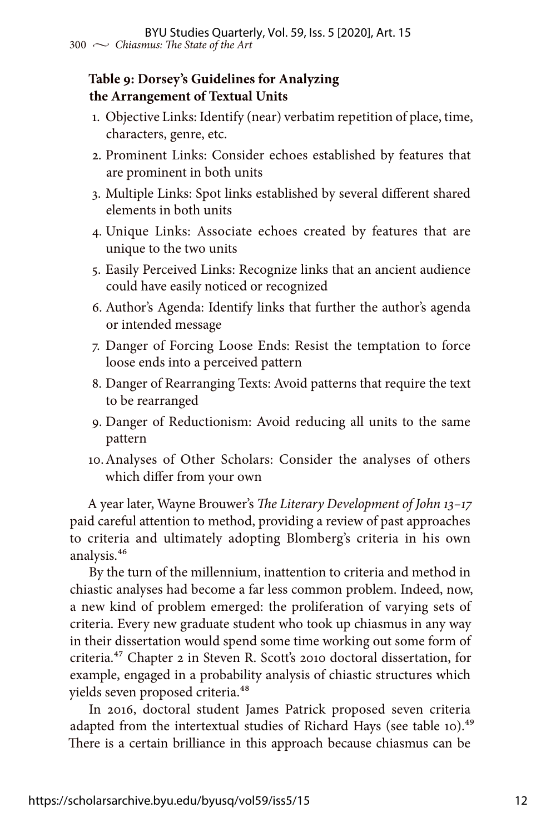### **Table 9: Dorsey's Guidelines for Analyzing the Arrangement of Textual Units**

- 1. Objective Links: Identify (near) verbatim repetition of place, time, characters, genre, etc.
- 2. Prominent Links: Consider echoes established by features that are prominent in both units
- 3. Multiple Links: Spot links established by several different shared elements in both units
- 4. Unique Links: Associate echoes created by features that are unique to the two units
- 5. Easily Perceived Links: Recognize links that an ancient audience could have easily noticed or recognized
- 6. Author's Agenda: Identify links that further the author's agenda or intended message
- 7. Danger of Forcing Loose Ends: Resist the temptation to force loose ends into a perceived pattern
- 8. Danger of Rearranging Texts: Avoid patterns that require the text to be rearranged
- 9. Danger of Reductionism: Avoid reducing all units to the same pattern
- 10.Analyses of Other Scholars: Consider the analyses of others which differ from your own

A year later, Wayne Brouwer's *The Literary Development of John 13–17*  paid careful attention to method, providing a review of past approaches to criteria and ultimately adopting Blomberg's criteria in his own analysis.46

By the turn of the millennium, inattention to criteria and method in chiastic analyses had become a far less common problem. Indeed, now, a new kind of problem emerged: the proliferation of varying sets of criteria. Every new graduate student who took up chiasmus in any way in their dissertation would spend some time working out some form of criteria.47 Chapter 2 in Steven R. Scott's 2010 doctoral dissertation, for example, engaged in a probability analysis of chiastic structures which yields seven proposed criteria.48

In 2016, doctoral student James Patrick proposed seven criteria adapted from the intertextual studies of Richard Hays (see table 10).<sup>49</sup> There is a certain brilliance in this approach because chiasmus can be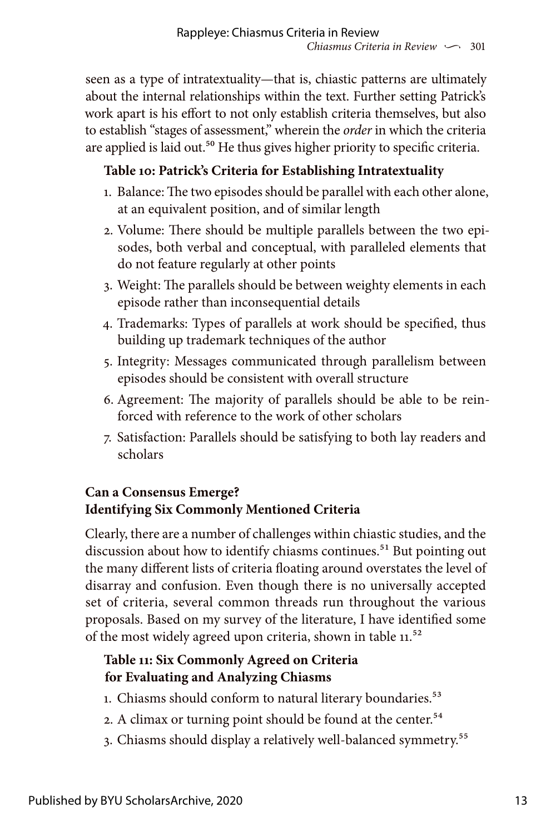seen as a type of intratextuality—that is, chiastic patterns are ultimately about the internal relationships within the text. Further setting Patrick's work apart is his effort to not only establish criteria themselves, but also to establish "stages of assessment," wherein the *order* in which the criteria are applied is laid out.<sup>50</sup> He thus gives higher priority to specific criteria.

# **Table 10: Patrick's Criteria for Establishing Intratextuality**

- 1. Balance: The two episodes should be parallel with each other alone, at an equivalent position, and of similar length
- 2. Volume: There should be multiple parallels between the two episodes, both verbal and conceptual, with paralleled elements that do not feature regularly at other points
- 3. Weight: The parallels should be between weighty elements in each episode rather than inconsequential details
- 4. Trademarks: Types of parallels at work should be specified, thus building up trademark techniques of the author
- 5. Integrity: Messages communicated through parallelism between episodes should be consistent with overall structure
- 6. Agreement: The majority of parallels should be able to be reinforced with reference to the work of other scholars
- 7. Satisfaction: Parallels should be satisfying to both lay readers and scholars

## **Can a Consensus Emerge? Identifying Six Commonly Mentioned Criteria**

Clearly, there are a number of challenges within chiastic studies, and the discussion about how to identify chiasms continues.<sup>51</sup> But pointing out the many different lists of criteria floating around overstates the level of disarray and confusion. Even though there is no universally accepted set of criteria, several common threads run throughout the various proposals. Based on my survey of the literature, I have identified some of the most widely agreed upon criteria, shown in table 11.<sup>52</sup>

# **Table 11: Six Commonly Agreed on Criteria for Evaluating and Analyzing Chiasms**

- 1. Chiasms should conform to natural literary boundaries.<sup>53</sup>
- 2. A climax or turning point should be found at the center.<sup>54</sup>
- 3. Chiasms should display a relatively well-balanced symmetry.<sup>55</sup>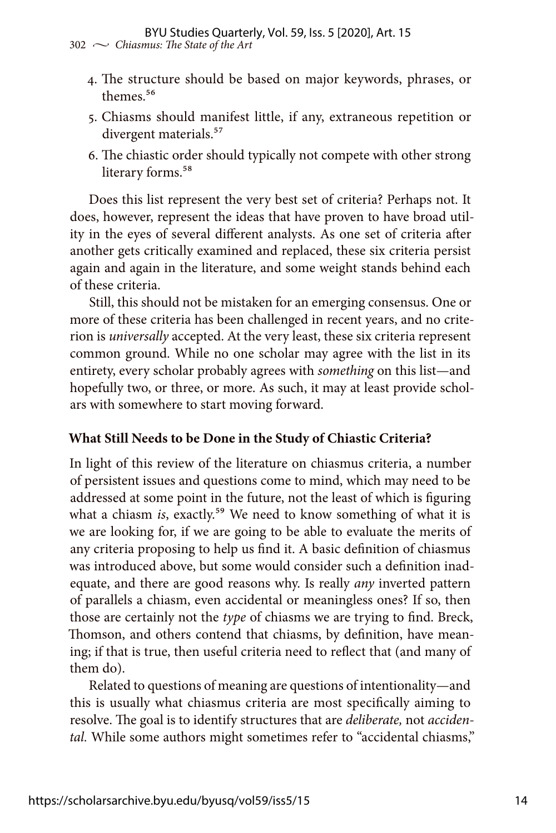- 4. The structure should be based on major keywords, phrases, or themes<sup>56</sup>
- 5. Chiasms should manifest little, if any, extraneous repetition or divergent materials.<sup>57</sup>
- 6. The chiastic order should typically not compete with other strong literary forms.<sup>58</sup>

Does this list represent the very best set of criteria? Perhaps not. It does, however, represent the ideas that have proven to have broad utility in the eyes of several different analysts. As one set of criteria after another gets critically examined and replaced, these six criteria persist again and again in the literature, and some weight stands behind each of these criteria.

Still, this should not be mistaken for an emerging consensus. One or more of these criteria has been challenged in recent years, and no criterion is *universally* accepted. At the very least, these six criteria represent common ground. While no one scholar may agree with the list in its entirety, every scholar probably agrees with *something* on this list—and hopefully two, or three, or more. As such, it may at least provide scholars with somewhere to start moving forward.

### **What Still Needs to be Done in the Study of Chiastic Criteria?**

In light of this review of the literature on chiasmus criteria, a number of persistent issues and questions come to mind, which may need to be addressed at some point in the future, not the least of which is figuring what a chiasm *is*, exactly.<sup>59</sup> We need to know something of what it is we are looking for, if we are going to be able to evaluate the merits of any criteria proposing to help us find it. A basic definition of chiasmus was introduced above, but some would consider such a definition inadequate, and there are good reasons why. Is really *any* inverted pattern of parallels a chiasm, even accidental or meaningless ones? If so, then those are certainly not the *type* of chiasms we are trying to find. Breck, Thomson, and others contend that chiasms, by definition, have meaning; if that is true, then useful criteria need to reflect that (and many of them do).

Related to questions of meaning are questions of intentionality—and this is usually what chiasmus criteria are most specifically aiming to resolve. The goal is to identify structures that are *deliberate,* not *accidental.* While some authors might sometimes refer to "accidental chiasms,"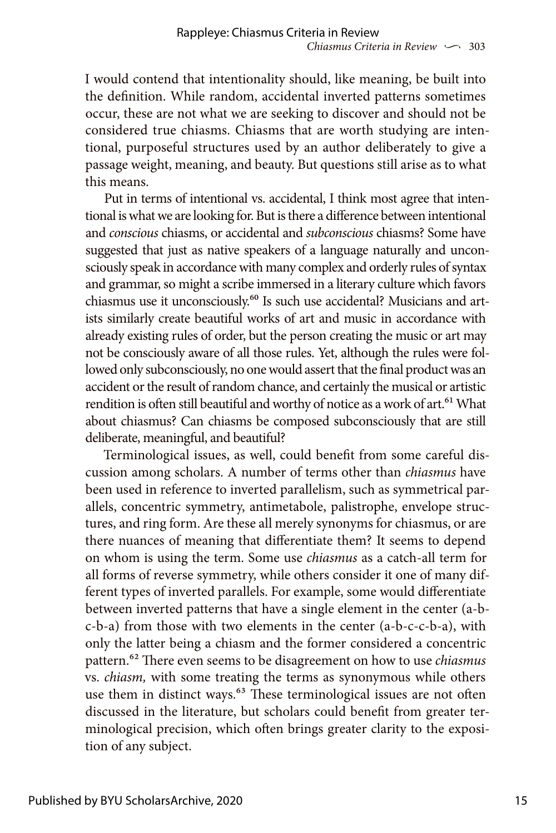I would contend that intentionality should, like meaning, be built into the definition. While random, accidental inverted patterns sometimes occur, these are not what we are seeking to discover and should not be considered true chiasms. Chiasms that are worth studying are intentional, purposeful structures used by an author deliberately to give a passage weight, meaning, and beauty. But questions still arise as to what this means.

Put in terms of intentional vs. accidental, I think most agree that intentional is what we are looking for. But is there a difference between intentional and *conscious* chiasms, or accidental and *subconscious* chiasms? Some have suggested that just as native speakers of a language naturally and unconsciously speak in accordance with many complex and orderly rules of syntax and grammar, so might a scribe immersed in a literary culture which favors chiasmus use it unconsciously.60 Is such use accidental? Musicians and artists similarly create beautiful works of art and music in accordance with already existing rules of order, but the person creating the music or art may not be consciously aware of all those rules. Yet, although the rules were followed only subconsciously, no one would assert that the final product was an accident or the result of random chance, and certainly the musical or artistic rendition is often still beautiful and worthy of notice as a work of art.<sup>61</sup> What about chiasmus? Can chiasms be composed subconsciously that are still deliberate, meaningful, and beautiful?

Terminological issues, as well, could benefit from some careful discussion among scholars. A number of terms other than *chiasmus* have been used in reference to inverted parallelism, such as symmetrical parallels, concentric symmetry, antimetabole, palistrophe, envelope structures, and ring form. Are these all merely synonyms for chiasmus, or are there nuances of meaning that differentiate them? It seems to depend on whom is using the term. Some use *chiasmus* as a catch-all term for all forms of reverse symmetry, while others consider it one of many different types of inverted parallels. For example, some would differentiate between inverted patterns that have a single element in the center (a-bc-b-a) from those with two elements in the center (a-b-c-c-b-a), with only the latter being a chiasm and the former considered a concentric pattern.62 There even seems to be disagreement on how to use *chiasmus* vs. *chiasm,* with some treating the terms as synonymous while others use them in distinct ways.<sup>63</sup> These terminological issues are not often discussed in the literature, but scholars could benefit from greater terminological precision, which often brings greater clarity to the exposition of any subject.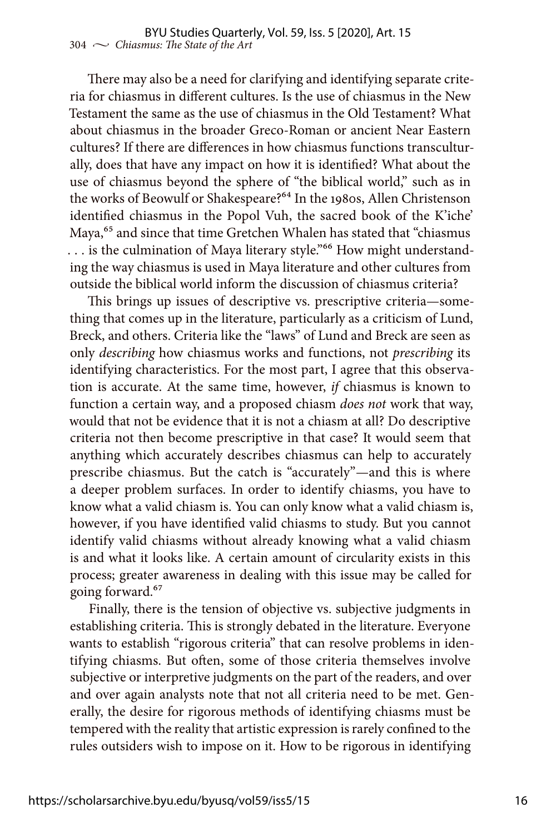There may also be a need for clarifying and identifying separate criteria for chiasmus in different cultures. Is the use of chiasmus in the New Testament the same as the use of chiasmus in the Old Testament? What about chiasmus in the broader Greco-Roman or ancient Near Eastern cultures? If there are differences in how chiasmus functions transculturally, does that have any impact on how it is identified? What about the use of chiasmus beyond the sphere of "the biblical world," such as in the works of Beowulf or Shakespeare?<sup>64</sup> In the 1980s, Allen Christenson identified chiasmus in the Popol Vuh, the sacred book of the K'iche' Maya,<sup>65</sup> and since that time Gretchen Whalen has stated that "chiasmus ... is the culmination of Maya literary style."<sup>66</sup> How might understanding the way chiasmus is used in Maya literature and other cultures from outside the biblical world inform the discussion of chiasmus criteria?

This brings up issues of descriptive vs. prescriptive criteria—something that comes up in the literature, particularly as a criticism of Lund, Breck, and others. Criteria like the "laws" of Lund and Breck are seen as only *describing* how chiasmus works and functions, not *prescribing* its identifying characteristics. For the most part, I agree that this observation is accurate. At the same time, however, *if* chiasmus is known to function a certain way, and a proposed chiasm *does not* work that way, would that not be evidence that it is not a chiasm at all? Do descriptive criteria not then become prescriptive in that case? It would seem that anything which accurately describes chiasmus can help to accurately prescribe chiasmus. But the catch is "accurately"—and this is where a deeper problem surfaces. In order to identify chiasms, you have to know what a valid chiasm is. You can only know what a valid chiasm is, however, if you have identified valid chiasms to study. But you cannot identify valid chiasms without already knowing what a valid chiasm is and what it looks like. A certain amount of circularity exists in this process; greater awareness in dealing with this issue may be called for going forward.<sup>67</sup>

Finally, there is the tension of objective vs. subjective judgments in establishing criteria. This is strongly debated in the literature. Everyone wants to establish "rigorous criteria" that can resolve problems in identifying chiasms. But often, some of those criteria themselves involve subjective or interpretive judgments on the part of the readers, and over and over again analysts note that not all criteria need to be met. Generally, the desire for rigorous methods of identifying chiasms must be tempered with the reality that artistic expression is rarely confined to the rules outsiders wish to impose on it. How to be rigorous in identifying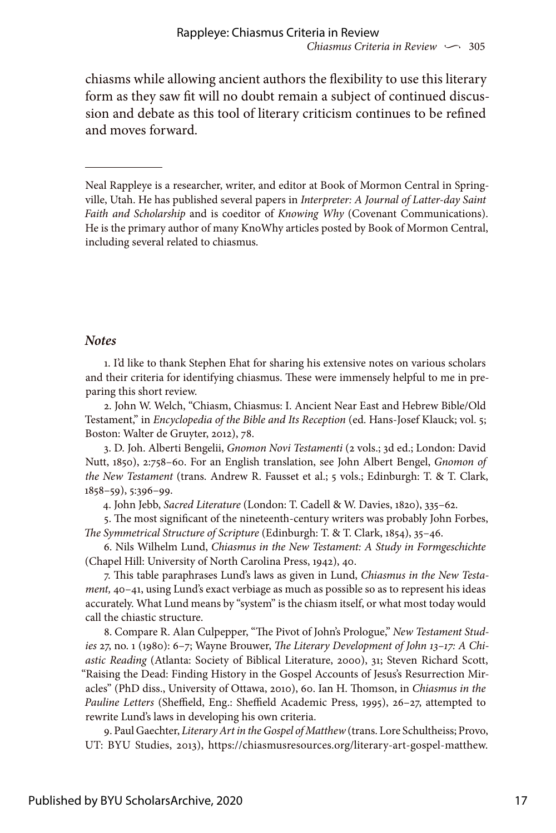chiasms while allowing ancient authors the flexibility to use this literary form as they saw fit will no doubt remain a subject of continued discussion and debate as this tool of literary criticism continues to be refined and moves forward.

#### *Notes*

1. I'd like to thank Stephen Ehat for sharing his extensive notes on various scholars and their criteria for identifying chiasmus. These were immensely helpful to me in preparing this short review.

2. John W. Welch, "Chiasm, Chiasmus: I. Ancient Near East and Hebrew Bible/Old Testament," in *Encyclopedia of the Bible and Its Reception* (ed. Hans-Josef Klauck; vol. 5; Boston: Walter de Gruyter, 2012), 78.

3. D. Joh. Alberti Bengelii, *Gnomon Novi Testamenti* (2 vols.; 3d ed.; London: David Nutt, 1850), 2:758–60. For an English translation, see John Albert Bengel, *Gnomon of the New Testament* (trans. Andrew R. Fausset et al.; 5 vols.; Edinburgh: T. & T. Clark, 1858–59), 5:396–99.

4. John Jebb, *Sacred Literature* (London: T. Cadell & W. Davies, 1820), 335–62.

5. The most significant of the nineteenth-century writers was probably John Forbes, *The Symmetrical Structure of Scripture* (Edinburgh: T. & T. Clark, 1854), 35–46.

6. Nils Wilhelm Lund, *Chiasmus in the New Testament: A Study in Formgeschichte* (Chapel Hill: University of North Carolina Press, 1942), 40.

7. This table paraphrases Lund's laws as given in Lund, *Chiasmus in the New Testament,* 40–41, using Lund's exact verbiage as much as possible so as to represent his ideas accurately. What Lund means by "system" is the chiasm itself, or what most today would call the chiastic structure.

8. Compare R. Alan Culpepper, "The Pivot of John's Prologue," *New Testament Studies* 27, no. 1 (1980): 6–7; Wayne Brouwer, *The Literary Development of John 13–17: A Chiastic Reading* (Atlanta: Society of Biblical Literature, 2000), 31; Steven Richard Scott, "Raising the Dead: Finding History in the Gospel Accounts of Jesus's Resurrection Miracles" (PhD diss., University of Ottawa, 2010), 60. Ian H. Thomson, in *Chiasmus in the Pauline Letters* (Sheffield, Eng.: Sheffield Academic Press, 1995), 26–27, attempted to rewrite Lund's laws in developing his own criteria.

9. Paul Gaechter, *Literary Art in the Gospel of Matthew* (trans. Lore Schultheiss; Provo, UT: BYU Studies, 2013), <https://chiasmusresources.org/literary-art-gospel-matthew>.

Neal Rappleye is a researcher, writer, and editor at Book of Mormon Central in Springville, Utah. He has published several papers in *Interpreter: A Journal of Latter-day Saint Faith and Scholarship* and is coeditor of *Knowing Why* (Covenant Communications). He is the primary author of many KnoWhy articles posted by Book of Mormon Central, including several related to chiasmus.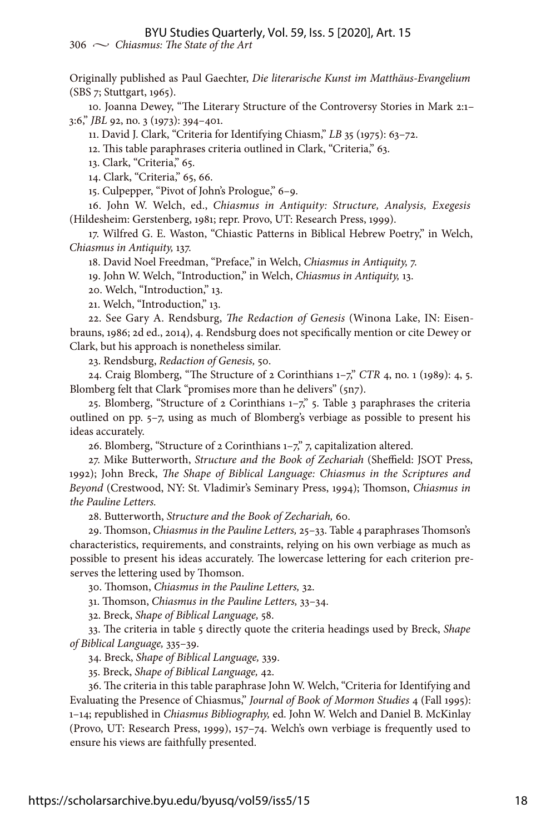Originally published as Paul Gaechter, *Die literarische Kunst im Matthäus-Evangelium* (SBS 7; Stuttgart, 1965).

10. Joanna Dewey, "The Literary Structure of the Controversy Stories in Mark 2:1– 3:6," *JBL* 92, no. 3 (1973): 394–401.

11. David J. Clark, "Criteria for Identifying Chiasm," *LB* 35 (1975): 63–72.

12. This table paraphrases criteria outlined in Clark, "Criteria," 63.

13. Clark, "Criteria," 65.

14. Clark, "Criteria," 65, 66.

15. Culpepper, "Pivot of John's Prologue," 6–9.

16. John W. Welch, ed., *Chiasmus in Antiquity: Structure, Analysis, Exegesis* (Hildesheim: Gerstenberg, 1981; repr. Provo, UT: Research Press, 1999).

17. Wilfred G. E. Waston, "Chiastic Patterns in Biblical Hebrew Poetry," in Welch, *Chiasmus in Antiquity,* 137.

18. David Noel Freedman, "Preface," in Welch, *Chiasmus in Antiquity,* 7.

19. John W. Welch, "Introduction," in Welch, *Chiasmus in Antiquity,* 13.

20. Welch, "Introduction," 13.

21. Welch, "Introduction," 13.

22. See Gary A. Rendsburg, *The Redaction of Genesis* (Winona Lake, IN: Eisenbrauns, 1986; 2d ed., 2014), 4. Rendsburg does not specifically mention or cite Dewey or Clark, but his approach is nonetheless similar.

23. Rendsburg, *Redaction of Genesis,* 50.

24. Craig Blomberg, "The Structure of 2 Corinthians 1–7," *CTR* 4, no. 1 (1989): 4, 5. Blomberg felt that Clark "promises more than he delivers" (5n7).

25. Blomberg, "Structure of 2 Corinthians  $1-\frac{7}{2}$ ," 5. Table 3 paraphrases the criteria outlined on pp. 5–7, using as much of Blomberg's verbiage as possible to present his ideas accurately.

26. Blomberg, "Structure of 2 Corinthians 1–7," 7, capitalization altered.

27. Mike Butterworth, *Structure and the Book of Zechariah* (Sheffield: JSOT Press, 1992); John Breck, *The Shape of Biblical Language: Chiasmus in the Scriptures and Beyond* (Crestwood, NY: St. Vladimir's Seminary Press, 1994); Thomson, *Chiasmus in the Pauline Letters.*

28. Butterworth, *Structure and the Book of Zechariah,* 60.

29. Thomson, *Chiasmus in the Pauline Letters,* 25–33. Table 4 paraphrases Thomson's characteristics, requirements, and constraints, relying on his own verbiage as much as possible to present his ideas accurately. The lowercase lettering for each criterion preserves the lettering used by Thomson.

30. Thomson, *Chiasmus in the Pauline Letters,* 32.

31. Thomson, *Chiasmus in the Pauline Letters,* 33–34.

32. Breck, *Shape of Biblical Language,* 58.

33. The criteria in table 5 directly quote the criteria headings used by Breck, *Shape of Biblical Language,* 335–39.

34. Breck, *Shape of Biblical Language,* 339.

35. Breck, *Shape of Biblical Language,* 42.

36. The criteria in this table paraphrase John W. Welch, "Criteria for Identifying and Evaluating the Presence of Chiasmus," *Journal of Book of Mormon Studies* 4 (Fall 1995): 1–14; republished in *Chiasmus Bibliography,* ed. John W. Welch and Daniel B. McKinlay (Provo, UT: Research Press, 1999), 157–74. Welch's own verbiage is frequently used to ensure his views are faithfully presented.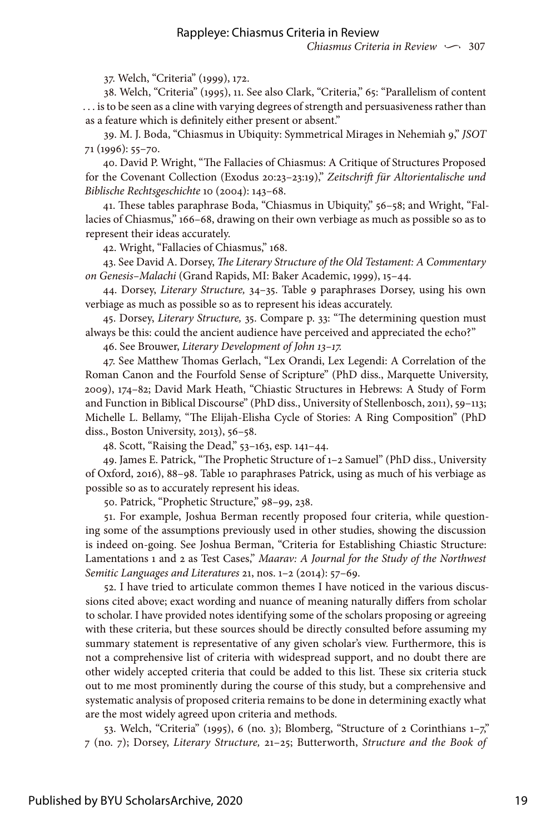37. Welch, "Criteria" (1999), 172.

38. Welch, "Criteria" (1995), 11. See also Clark, "Criteria," 65: "Parallelism of content . . . is to be seen as a cline with varying degrees of strength and persuasiveness rather than as a feature which is definitely either present or absent."

39. M. J. Boda, "Chiasmus in Ubiquity: Symmetrical Mirages in Nehemiah 9," *JSOT*  71 (1996): 55–70.

40. David P. Wright, "The Fallacies of Chiasmus: A Critique of Structures Proposed for the Covenant Collection (Exodus 20:23–23:19)," *Zeitschrift für Altorientalische und Biblische Rechtsgeschichte* 10 (2004): 143–68.

41. These tables paraphrase Boda, "Chiasmus in Ubiquity," 56–58; and Wright, "Fallacies of Chiasmus," 166–68, drawing on their own verbiage as much as possible so as to represent their ideas accurately.

42. Wright, "Fallacies of Chiasmus," 168.

43. See David A. Dorsey, *The Literary Structure of the Old Testament: A Commentary on Genesis–Malachi* (Grand Rapids, MI: Baker Academic, 1999), 15–44.

44. Dorsey, *Literary Structure,* 34–35. Table 9 paraphrases Dorsey, using his own verbiage as much as possible so as to represent his ideas accurately.

45. Dorsey, *Literary Structure,* 35. Compare p. 33: "The determining question must always be this: could the ancient audience have perceived and appreciated the echo?"

46. See Brouwer, *Literary Development of John 13–17.*

47. See Matthew Thomas Gerlach, "Lex Orandi, Lex Legendi: A Correlation of the Roman Canon and the Fourfold Sense of Scripture" (PhD diss., Marquette University, 2009), 174–82; David Mark Heath, "Chiastic Structures in Hebrews: A Study of Form and Function in Biblical Discourse" (PhD diss., University of Stellenbosch, 2011), 59–113; Michelle L. Bellamy, "The Elijah-Elisha Cycle of Stories: A Ring Composition" (PhD diss., Boston University, 2013), 56–58.

48. Scott, "Raising the Dead," 53–163, esp. 141–44.

49. James E. Patrick, "The Prophetic Structure of 1–2 Samuel" (PhD diss., University of Oxford, 2016), 88–98. Table 10 paraphrases Patrick, using as much of his verbiage as possible so as to accurately represent his ideas.

50. Patrick, "Prophetic Structure," 98–99, 238.

51. For example, Joshua Berman recently proposed four criteria, while questioning some of the assumptions previously used in other studies, showing the discussion is indeed on-going. See Joshua Berman, "Criteria for Establishing Chiastic Structure: Lamentations 1 and 2 as Test Cases," *Maarav: A Journal for the Study of the Northwest Semitic Languages and Literatures* 21, nos. 1–2 (2014): 57–69.

52. I have tried to articulate common themes I have noticed in the various discussions cited above; exact wording and nuance of meaning naturally differs from scholar to scholar. I have provided notes identifying some of the scholars proposing or agreeing with these criteria, but these sources should be directly consulted before assuming my summary statement is representative of any given scholar's view. Furthermore, this is not a comprehensive list of criteria with widespread support, and no doubt there are other widely accepted criteria that could be added to this list. These six criteria stuck out to me most prominently during the course of this study, but a comprehensive and systematic analysis of proposed criteria remains to be done in determining exactly what are the most widely agreed upon criteria and methods.

53. Welch, "Criteria" (1995), 6 (no. 3); Blomberg, "Structure of 2 Corinthians 1–7," 7 (no. 7); Dorsey, *Literary Structure,* 21–25; Butterworth, *Structure and the Book of*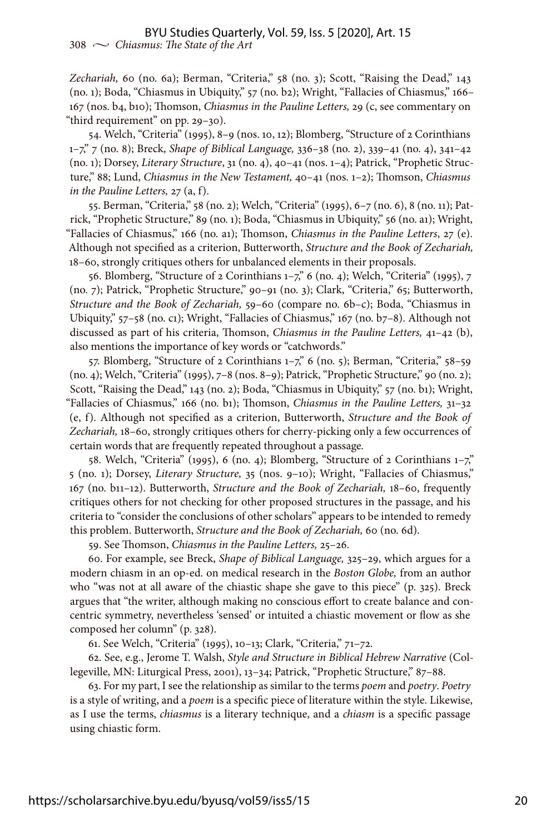*Zechariah,* 60 (no. 6a); Berman, "Criteria," 58 (no. 3); Scott, "Raising the Dead," 143 (no. 1); Boda, "Chiasmus in Ubiquity," 57 (no. b2); Wright, "Fallacies of Chiasmus," 166– 167 (nos. b4, b10); Thomson, *Chiasmus in the Pauline Letters,* 29 (c, see commentary on "third requirement" on pp. 29–30).

54. Welch, "Criteria" (1995), 8–9 (nos. 10, 12); Blomberg, "Structure of 2 Corinthians 1–7," 7 (no. 8); Breck, *Shape of Biblical Language,* 336–38 (no. 2), 339–41 (no. 4), 341–42 (no. 1); Dorsey, *Literary Structure*, 31 (no. 4), 40–41 (nos. 1–4); Patrick, "Prophetic Structure," 88; Lund, *Chiasmus in the New Testament,* 40–41 (nos. 1–2); Thomson, *Chiasmus in the Pauline Letters,* 27 (a, f).

55. Berman, "Criteria," 58 (no. 2); Welch, "Criteria" (1995), 6–7 (no. 6), 8 (no. 11); Patrick, "Prophetic Structure," 89 (no. 1); Boda, "Chiasmus in Ubiquity," 56 (no. a1); Wright, "Fallacies of Chiasmus," 166 (no. a1); Thomson, *Chiasmus in the Pauline Letters*, 27 (e). Although not specified as a criterion, Butterworth, *Structure and the Book of Zechariah,* 18–60, strongly critiques others for unbalanced elements in their proposals.

56. Blomberg, "Structure of 2 Corinthians 1–7," 6 (no. 4); Welch, "Criteria" (1995), 7 (no. 7); Patrick, "Prophetic Structure," 90–91 (no. 3); Clark, "Criteria," 65; Butterworth, *Structure and the Book of Zechariah,* 59–60 (compare no. 6b–c); Boda, "Chiasmus in Ubiquity," 57–58 (no. c1); Wright, "Fallacies of Chiasmus," 167 (no. b7–8). Although not discussed as part of his criteria, Thomson, *Chiasmus in the Pauline Letters,* 41–42 (b), also mentions the importance of key words or "catchwords."

57. Blomberg, "Structure of 2 Corinthians 1–7," 6 (no. 5); Berman, "Criteria," 58–59 (no. 4); Welch, "Criteria" (1995), 7–8 (nos. 8–9); Patrick, "Prophetic Structure," 90 (no. 2); Scott, "Raising the Dead," 143 (no. 2); Boda, "Chiasmus in Ubiquity," 57 (no. b1); Wright, "Fallacies of Chiasmus," 166 (no. b1); Thomson, *Chiasmus in the Pauline Letters,* 31–32 (e, f). Although not specified as a criterion, Butterworth, *Structure and the Book of Zechariah,* 18–60, strongly critiques others for cherry-picking only a few occurrences of certain words that are frequently repeated throughout a passage.

58. Welch, "Criteria" (1995), 6 (no. 4); Blomberg, "Structure of 2 Corinthians 1–7," 5 (no. 1); Dorsey, *Literary Structure,* 35 (nos. 9–10); Wright, "Fallacies of Chiasmus," 167 (no. b11–12). Butterworth, *Structure and the Book of Zechariah,* 18–60, frequently critiques others for not checking for other proposed structures in the passage, and his criteria to "consider the conclusions of other scholars" appears to be intended to remedy this problem. Butterworth, *Structure and the Book of Zechariah,* 60 (no. 6d).

59. See Thomson, *Chiasmus in the Pauline Letters,* 25–26.

60. For example, see Breck, *Shape of Biblical Language,* 325–29, which argues for a modern chiasm in an op-ed. on medical research in the *Boston Globe,* from an author who "was not at all aware of the chiastic shape she gave to this piece" (p. 325). Breck argues that "the writer, although making no conscious effort to create balance and concentric symmetry, nevertheless 'sensed' or intuited a chiastic movement or flow as she composed her column" (p. 328).

61. See Welch, "Criteria" (1995), 10–13; Clark, "Criteria," 71–72.

62. See, e.g., Jerome T. Walsh, *Style and Structure in Biblical Hebrew Narrative* (Collegeville, MN: Liturgical Press, 2001), 13–34; Patrick, "Prophetic Structure," 87–88.

63. For my part, I see the relationship as similar to the terms *poem* and *poetry*. *Poetry* is a style of writing, and a *poem* is a specific piece of literature within the style. Likewise, as I use the terms, *chiasmus* is a literary technique, and a *chiasm* is a specific passage using chiastic form.